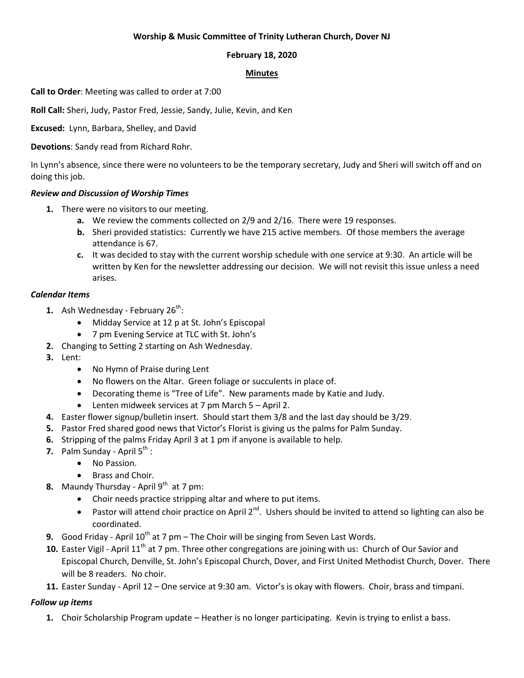## **Worship & Music Committee of Trinity Lutheran Church, Dover NJ**

## **February 18, 2020**

### **Minutes**

**Call to Order**: Meeting was called to order at 7:00

**Roll Call:** Sheri, Judy, Pastor Fred, Jessie, Sandy, Julie, Kevin, and Ken

**Excused:** Lynn, Barbara, Shelley, and David

**Devotions**: Sandy read from Richard Rohr.

In Lynn's absence, since there were no volunteers to be the temporary secretary, Judy and Sheri will switch off and on doing this job.

# *Review and Discussion of Worship Times*

- **1.** There were no visitors to our meeting.
	- **a.** We review the comments collected on 2/9 and 2/16. There were 19 responses.
	- **b.** Sheri provided statistics: Currently we have 215 active members. Of those members the average attendance is 67.
	- **c.** It was decided to stay with the current worship schedule with one service at 9:30. An article will be written by Ken for the newsletter addressing our decision. We will not revisit this issue unless a need arises.

# *Calendar Items*

- **1.** Ash Wednesday February 26<sup>th</sup>:
	- Midday Service at 12 p at St. John's Episcopal
	- 7 pm Evening Service at TLC with St. John's
- **2.** Changing to Setting 2 starting on Ash Wednesday.
- **3.** Lent:
	- No Hymn of Praise during Lent
	- No flowers on the Altar. Green foliage or succulents in place of.
	- Decorating theme is "Tree of Life". New paraments made by Katie and Judy.
		- Lenten midweek services at 7 pm March 5 April 2.
- **4.** Easter flower signup/bulletin insert. Should start them 3/8 and the last day should be 3/29.
- **5.** Pastor Fred shared good news that Victor's Florist is giving us the palms for Palm Sunday.
- **6.** Stripping of the palms Friday April 3 at 1 pm if anyone is available to help.
- **7.** Palm Sunday April 5<sup>th</sup> :
	- No Passion.
	- Brass and Choir.
- **8.** Maundy Thursday April 9<sup>th</sup> at 7 pm:
	- Choir needs practice stripping altar and where to put items.
	- **•** Pastor will attend choir practice on April 2<sup>nd</sup>. Ushers should be invited to attend so lighting can also be coordinated.
- **9.** Good Friday April 10<sup>th</sup> at 7 pm The Choir will be singing from Seven Last Words.
- 10. Easter Vigil April 11<sup>th</sup> at 7 pm. Three other congregations are joining with us: Church of Our Savior and Episcopal Church, Denville, St. John's Episcopal Church, Dover, and First United Methodist Church, Dover. There will be 8 readers. No choir.
- **11.** Easter Sunday April 12 One service at 9:30 am. Victor's is okay with flowers. Choir, brass and timpani.

# *Follow up items*

**1.** Choir Scholarship Program update – Heather is no longer participating. Kevin is trying to enlist a bass.